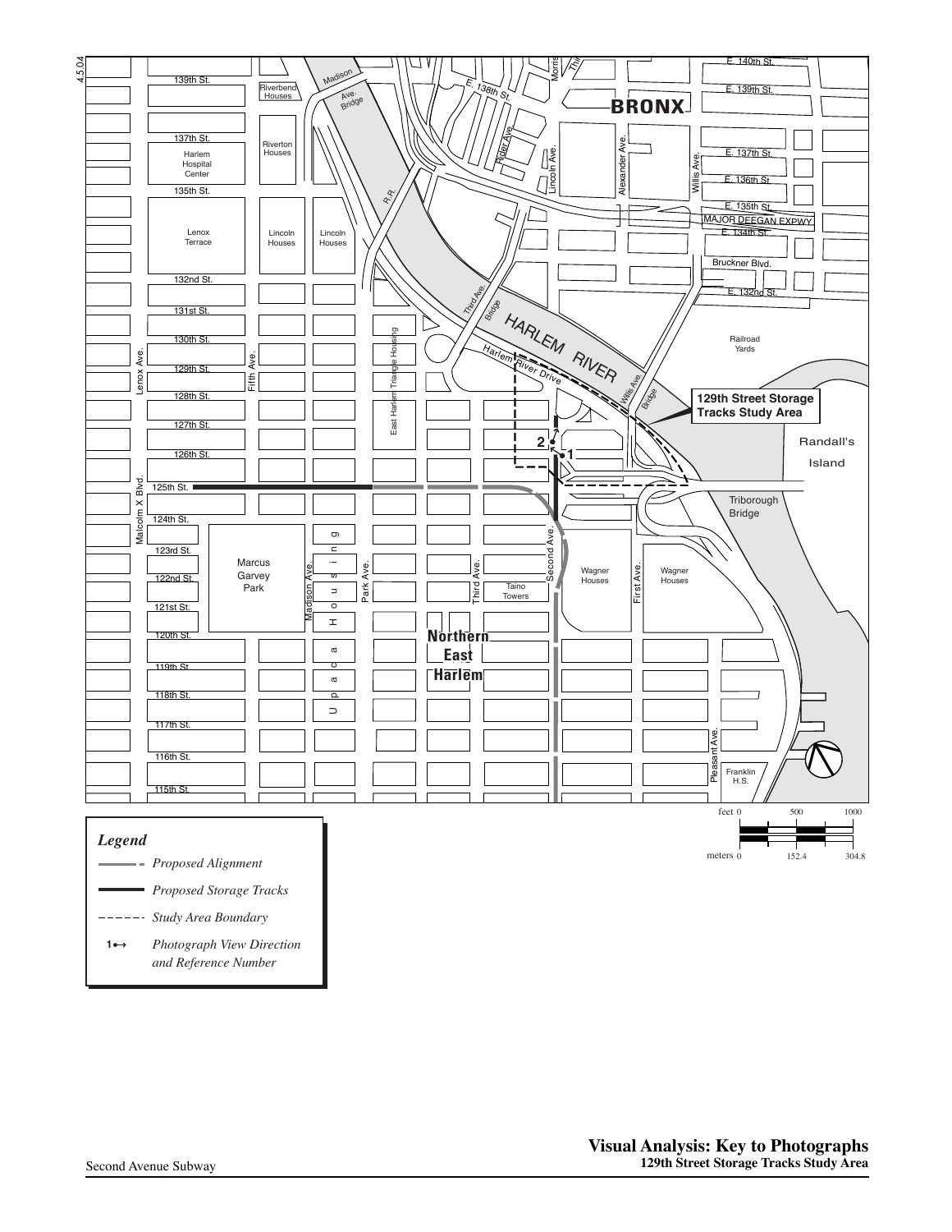

102nd St.

Houses Carver